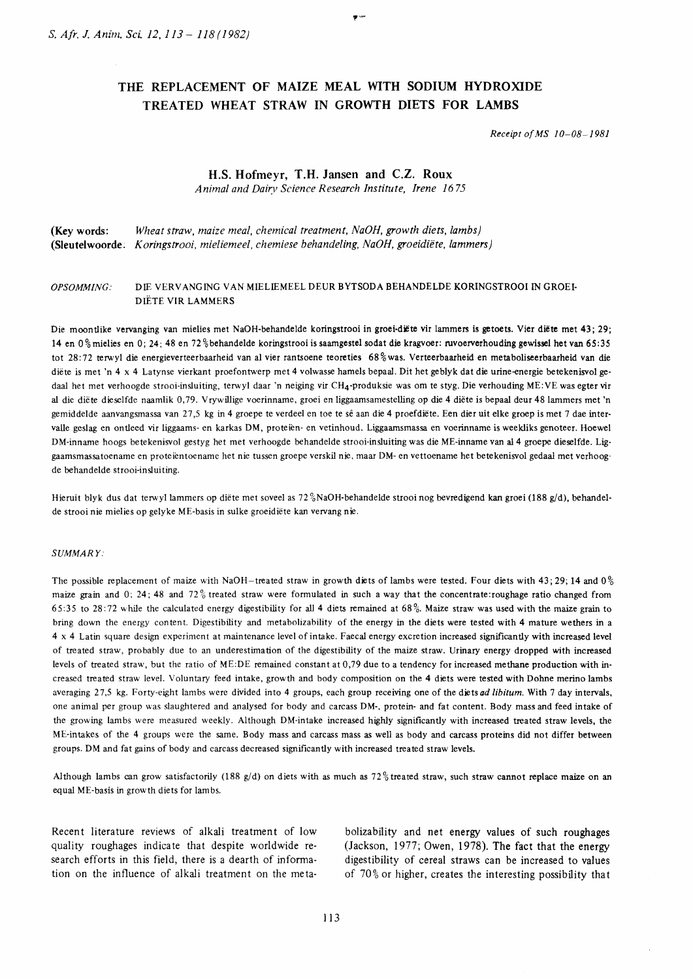# THE REPLACEMENT OF MAIZE MEAL WITH SODIUM HYDROXIDE TREATED WHEAT STRAW IN GROWTH DIETS FOR LAMBS

Receipt of MS I0-08-1981

# H.S. Hofmeyr, T.H. Jansen and C.Z. Roux

Animal and Dairv Science Research Institute, Irene 1675

(Key words: Wheat straw, maize meal, chemical treatment,  $NaOH$ , growth diets, lambs) (Sleutelwoorde. Koringstrooi, mieliemeel, chemiese behandeling, NaOH, groeidiëte, lammers)

# OPSOMMING.. DIE VERVANGING VAN MIELIEMEEL DEUR BYTSODA BEHANDELDE KORINGSTROOI IN GROEI. DIËTE VIR LAMMERS

Die moontlike vervanging van mielies met NaOH-behandelde koringstrooi in groei-diëte vir lammers is getoets. Vier diëte met 43; 29; 14 en 0% mielies en 0; 24: 48 en 72% behandelde koringstrooi is saamgestel sodat die kragvoer: ruvoerverhouding gewissel het van 65:35 tot 28:72 terwyl die energieverteerbaarheid van al vier rantsoene teoreties 68% was. Verteerbaarheid en metaboliseerbaarheid van die diëte is met 'n 4 x 4 Latynse vierkant proefontwerp met 4 volwasse hamels bepaal. Dit het geblyk dat die urine-energie betekenisvol gedaal het met verhoogde strooi-insluiting, terwyl daar 'n neiging vir CH4-produksie was om te styg. Die verhouding ME:VE was egter vir al die diëte dieselfde naamlik 0,79. Vrywillige voerinname, groei en liggaamsamestelling op die 4 diëte is bepaal deur 48 lammers met 'n gemiddelde aanvangsmassa van 27,5 kg in 4 groepe te verdeel en toe te sê aan die 4 proefdiëte. Een dier uit elke groep is met 7 dae intervalle geslag en ontleed vir liggaams- en karkas DM, proteien- en vetinhoud. Liggaamsmassa en voerinname is weekliks genoteer. Hoewel DM-inname hoogs betekenisvol gestyg het met verhoogde behandelde strooi-insluiting was die ME-inname van al 4 groepe dieselfde. Liggaamsmassatoename en proteientoename het nie tussen groepe verskil nie, maar DM- en vettoename het betekenisvol gedaal met verhoogde behandelde strooi-inslui tine.

Hieruit blyk dus dat terwyl lammers op diete met soveel as 72%NaOH-behandelde strooi nog bevredigend kan groei (188 g/d), behandelde strooi nie mielies op gelyke ME-basis in sulke groeidiëte kan vervang nie.

#### SUMMARY:

The possible replacement of maize with NaOH-treated straw in growth diets of lambs were tested. Four diets with 43;29;14 and  $0\%$ maize grain and 0; 24; 48 and  $72\%$  treated straw were formulated in such a way that the concentrate:roughage ratio changed from 65:35 to 28:72 while the calculated energy digestibility for all 4 diets remained at 68%. Maize straw was used with the maize grain to bring down the energy content. Digestibility and metabolizability of the energy in the diets were tested with 4 mature wethers in a 4 x 4 Latin square design experiment at maintenance level of intake. Faecal energy excretion increased significantly with increased level of treated straw, probably due to an underestimation of the digestibility of the maize straw. Urinary energy dropped with increased levels of treated straw, but the ratio of ME:DE remained constant at 0,79 due to a tendency for increased methane production with increased treated straw level. Voluntary feed intake, growth and body composition on the 4 diets were tested with Dohne merino lambs averaging 27,5 kg. Forty-eight lambs were divided into 4 groups, each group receiving one of the diets ad libitum. With 7 day intervals, one animal per group was slaughtered and analysed for body and carcass DM-, protein- and fat content. Body mass and feed intake of the growing lambs were measured weekly. Although DM-intake increased hghly significantly with increased treated straw levels, the ME-intakes of the 4 groups were the same. Body mass and carcass mass as well as body and carcass proteins did not differ between groups. DM and fat gains of body and carcass decreased significantly with increased treated straw levels.

Although lambs can grow satisfactorily (188 g/d) on diets with as much as 72% treated straw, such straw cannot replace maize on an equal ME-basis in growth diets for lambs.

Recent literature reviews of alkali treatment of low quality roughages indicate that despite worldwide research efforts in this field, there is a dearth of information on the influence of alkali treatment on the metabolizability and net energy values of such roughages (Jackson, 1977; Owen, 1978). The fact that the enerry digestibility of cereal straws can be increased to values of  $70\%$  or higher, creates the interesting possibility that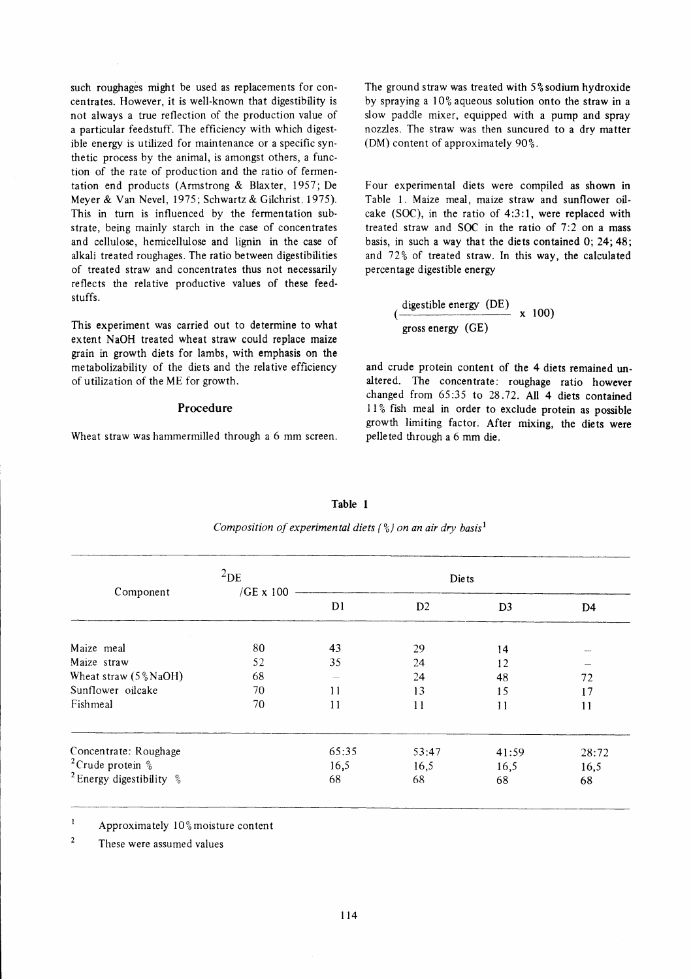such roughages might be used as replacements for concentrates. However, it is well-known that digestibility is not always a true reflection of the production value of a particular feedstuff. The efficiency with which digestible energy is utilized for maintenance or a specific synthetic process by the animal, is amongst others, a function of the rate of production and the ratio of fermentation end products (Armstrong & Blaxter, 1957; De Meyer & Van Nevel, 1975; Schwartz & Gilchrist.1975). This in turn is influenced by the fermentation substrate, being mainly starch in the case of concentrates and cellulose, hemicellulose and lignin in the case of alkali treated roughages. The ratio between digestibilities of treated straw and concentrates thus not necessarily reflects the relative productive values of these feedstuffs.

This experiment was carried out to determine to what extent NaOH treated wheat straw could replace maize grain in growth diets for lambs, with emphasis on the metabolizability of the diets and the relative efficiency of utilization of the ME for growth.

#### Procedure

Wheat straw was hammermilled through a 6 mm screen.

The ground straw was treated with  $5\frac{6}{3}$  sodium hydroxide by spraying a  $10\%$  aqueous solution onto the straw in a slow paddle mixer, equipped with a pump and spray nozzles. The straw was then suncured to a dry matter (DM) content of approximately  $90\%$ .

Four experimental diets were compiled as shown in Table l. Maize meal, maize straw and sunflower oilcake (SOC), in the ratio of 4:3:1, were replaced with treated straw and SOC in the ratio of 7:2 on a mass basis, in such a way that the diets contained 0; 24.48; and  $72\%$  of treated straw. In this way, the calculated percentage digestible energy

> digestible energy (DE)<br>
> x 100) gross energy (CE)

and crude protein content of the 4 diets remained unaltered. The concentrate: roughage ratio however changed from 65:35 to 28;72. All 4 diets contained  $11\%$  fish meal in order to exclude protein as possible growth limiting factor. After mixing, the diets were pelleted through a 6 mm die.

|                                                 | $^{2}$ DE        |                | <b>Diets</b> |                |       |
|-------------------------------------------------|------------------|----------------|--------------|----------------|-------|
| Component                                       | $/GE \times 100$ | D <sub>1</sub> | D2           | D <sub>3</sub> | D4    |
| Maize meal                                      | 80               | 43             | 29           | 14             |       |
| Maize straw                                     | 52               | 35             | 24           | 12             |       |
| Wheat straw $(5\%$ NaOH)                        | 68               |                | 24           | 48             | 72    |
| Sunflower oilcake                               | 70               | 11             | 13           | 15             | 17    |
| Fishmeal                                        | 70               | 11             | 11           | 11             | 11    |
| Concentrate: Roughage                           |                  | 65:35          | 53:47        | 41:59          | 28:72 |
| <sup>2</sup> Crude protein $\frac{6}{6}$        |                  | 16,5           | 16,5         | 16,5           | 16,5  |
| <sup>2</sup> Energy digestibility $\frac{6}{6}$ |                  | 68             | 68           | 68             | 68    |

| n.<br>я |  |
|---------|--|
|         |  |

Composition of experimental diets ( $\frac{6}{2}$ ) on an air dry basis<sup>1</sup>

 $\mathbf{1}$ Approximately  $10\%$  moisture content

 $\overline{2}$ These were assumed values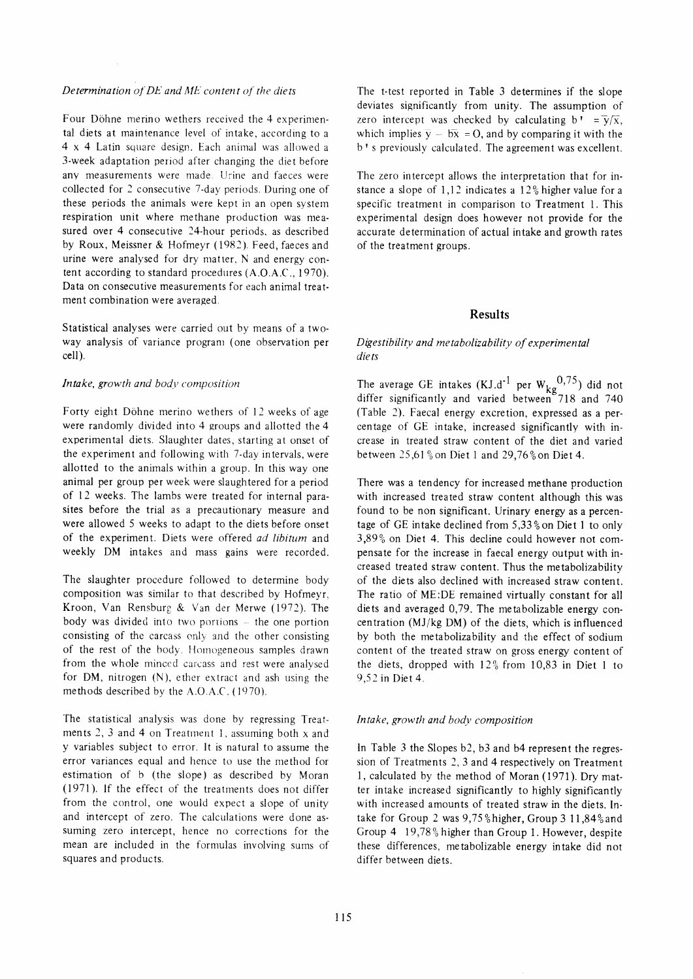#### Determination of  $DE$  and  $ME$  content of the diets

Four Döhne merino wethers received the 4 experimental diets at maintenance level of intake, according to a  $4 \times 4$  Latin square design. Each animal was allowed a 3-week adaptation period after changing the diet before any measurements were made. Urine and faeces were collected for 2 consecutive 7-day periods^ During one of these periods the animals were kept in an open system respiration unit where methane production was measured over 4 consecutive 24-hour periods, as described by Roux, Meissner & Hofmeyr (1982). Feed, faeces and urine were analysed for dry matter, N and energy content according to standard procedures (A.O.A.C., 1970). Data on consecutive measurements for each animal treatment combination were averaged,

Statistical analyses were carried out by means of a twoway analysis of variance program (one observation per cell).

#### Intake, growth and body composition

Forty eight Döhne merino wethers of 12 weeks of age were randomly divided into 4 groups and allotted the 4 experimental diets. Slaughter dates, starting at onset of the experiment and following with 7-day intervals, were allotted to the animals within a group. In this way one animal per group per week were slaughtered for a period of l2 weeks. The lambs were treated for internal parasites before the trial as a precautionary measure and were allowed 5 weeks to adapt to the diets before onset of the experiment. Diets were offered ad libitum and weekly DM intakes and mass gains were recorded.

The slaughter procedure followed to determine body composition was similar to that described by Hofmeyr, Kroon, Van Rensburg & Van der Merwe (1972). The body was divided into two portions  $-$  the one portion consisting of the carcass only and the other consisting of the rest of the body. Homogeneous samples drawn from the whole minced carcass and rest were analysed for DM, nitrogen (N), ether extract and ash using the methods described by the A.O.A.C. (1970).

The statistical analysis was done by regressing Treatments 2, 3 and 4 on Treatment 1, assuming both  $x$  and y variables subject to error. It is natural to assume the error variances equal and hence to use the method for estimation of b (the slope) as described by Moran (1971), If the effect of the treatments does not differ from the control, one would expect a slope of unity and intercept of zero. The calculations were done assuming zero intercept, hence no corrections for the mean are included in the formulas involving sums of squares and products.

The t-test reported in Table 3 determines if the slope deviates significantly from unity. The assumption of zero intercept was checked by calculating b,  $=\overline{y}/\overline{x}$ , which implies  $\overline{y} - b\overline{x} = 0$ , and by comparing it with the b's previously calculated. The agreement was excellent.

The zero intercept allows the interpretation that for instance a slope of  $1,12$  indicates a  $12\%$  higher value for a specific treatment in comparison to Treatment 1. This experimental design does however not provide for the accurate determination of actual intake and growth rates of the treatment groups.

## Results

## Digestibility and metabolizability of experimental die ts

The average GE intakes (KJ.d<sup>-1</sup> per  $W_{k\alpha}^{(0,7,7)}$ ) did not differ significantly and varied between"Tl8 and 740 (Table 2). Faecal energy excretion, expressed as a percentage of GE intake, increased significantly with increase in treated straw content of the diet and varied between  $25.61\%$  on Diet 1 and  $29.76\%$  on Diet 4.

There was a tendency for increased methane production with increased treated straw content although this was found to be non significant. Urinary energy as a percentage of GE intake declined from 5,33% on Diet 1 to only  $3,89\%$  on Diet 4. This decline could however not compensate for the increase in faecal energy output with increased treated straw content. Thus the metabolizability of the diets also declined with increased straw content. The ratio of ME:DE remained virtually constant for all diets and averaged 0,79. The metabolizable energy concentration (MJ/kg DM) of the diets, which is influenced by both the metabolizability and the effect of sodium content of the treated straw on gross energy content of the diets, dropped with  $12\frac{6}{5}$  from 10,83 in Diet 1 to 9,52 in Diet 4 .

#### Intake, growth and body composition

ln Table 3 the Slopes b2, b3 and b4 represent the regression of Treatments 2, 3 and 4 respectively on Treatment I, calculated by the method of Moran (1971). Dry matter intake increased significantly to highly significantly with increased amounts of treated straw in the diets. [ntake for Group 2 was 9,75% higher, Group 3 11,84% and Group 4 19,78% higher than Group 1. However, despite these differences, metabolizable energy intake did not differ between diets.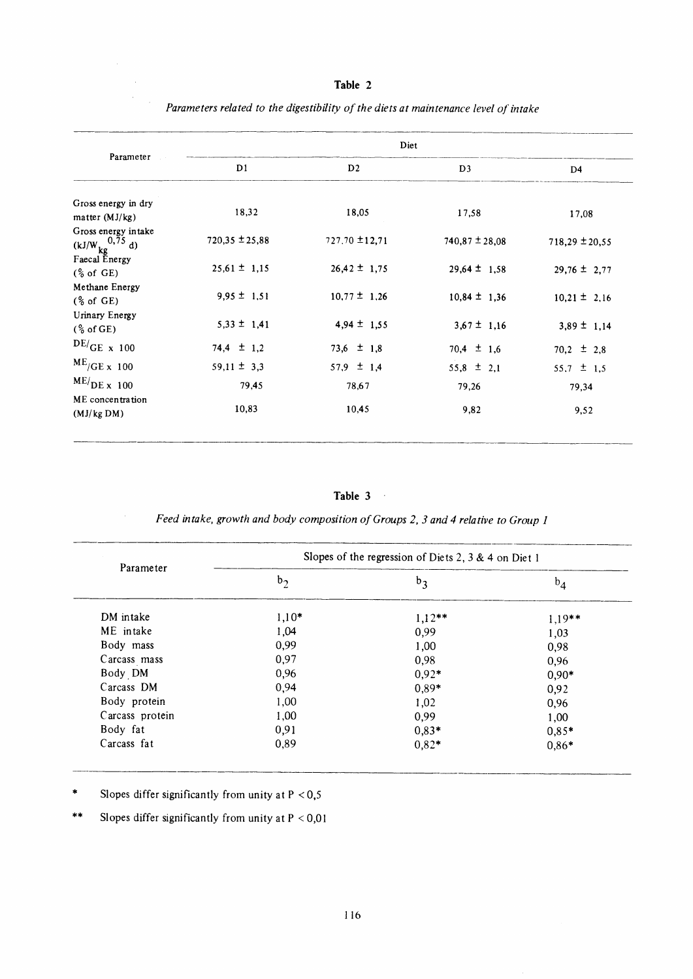# Table 2

| Parameter                                         | Diet               |                    |                    |                    |  |  |
|---------------------------------------------------|--------------------|--------------------|--------------------|--------------------|--|--|
|                                                   | D1                 | D <sub>2</sub>     | D <sub>3</sub>     | D <sub>4</sub>     |  |  |
| Gross energy in dry<br>matter $(MJ/kg)$           | 18,32              | 18,05              | 17,58              | 17,08              |  |  |
| Gross energy intake<br>$(kJ/W \frac{0.75}{kg} d)$ | $720,35 \pm 25,88$ | $727.70 \pm 12.71$ | $740,87 \pm 28,08$ | $718,29 \pm 20,55$ |  |  |
| Faecal Energy<br>$(\frac{6}{6}$ of GE)            | $25,61 \pm 1,15$   | $26,42 \pm 1,75$   | $29.64 \pm 1.58$   | $29,76 \pm 2,77$   |  |  |
| Methane Energy<br>$\frac{6}{6}$ of GE)            | $9,95 \pm 1,51$    | $10,77 \pm 1,26$   | $10,84 \pm 1,36$   | $10,21 \pm 2,16$   |  |  |
| Urinary Energy<br>$\frac{6}{6}$ of GE)            | $5,33 \pm 1,41$    | $4,94 \pm 1,55$    | $3,67 \pm 1,16$    | $3,89 \pm 1,14$    |  |  |
| $DE/GE \times 100$                                | $74,4 \pm 1,2$     | $73.6 \pm 1.8$     | $70,4 \pm 1,6$     | $70,2 \pm 2,8$     |  |  |
| $ME/GE \times 100$                                | $59,11 \pm 3,3$    | $57.9 \pm 1.4$     | $55,8 \pm 2,1$     | 55,7 $\pm$ 1,5     |  |  |
| $ME/DE \times 100$                                | 79,45              | 78,67              | 79,26              | 79,34              |  |  |
| ME concentration<br>(MJ/kg DM)                    | 10,83              | 10,45              | 9,82               | 9,52               |  |  |

Parameters related to the digestibility of the diets at maintenance level of intake

Table 3

Feed intake, growth and body composition of Groups 2, 3 and 4 relative to Group 1

| Parameter       | Slopes of the regression of Diets 2, 3 & 4 on Diet 1 |          |          |  |  |
|-----------------|------------------------------------------------------|----------|----------|--|--|
|                 | $b_2$                                                | $b_3$    | $b_4$    |  |  |
| DM intake       | $1,10*$                                              | $1,12**$ | $1,19**$ |  |  |
| ME intake       | 1,04                                                 | 0,99     | 1,03     |  |  |
| Body mass       | 0,99                                                 | 1,00     | 0,98     |  |  |
| Carcass mass    | 0,97                                                 | 0,98     | 0,96     |  |  |
| Body DM         | 0,96                                                 | $0.92*$  | $0,90*$  |  |  |
| Carcass DM      | 0,94                                                 | $0.89*$  | 0,92     |  |  |
| Body protein    | 1,00                                                 | 1,02     | 0,96     |  |  |
| Carcass protein | 1,00                                                 | 0,99     | 1,00     |  |  |
| Body fat        | 0,91                                                 | $0,83*$  | $0,85*$  |  |  |
| Carcass fat     | 0,89                                                 | $0,82*$  | $0,86*$  |  |  |

 $\ast$ Slopes differ significantly from unity at  $P < 0.5$ 

Slopes differ significantly from unity at  $P < 0.01$  $\star\star$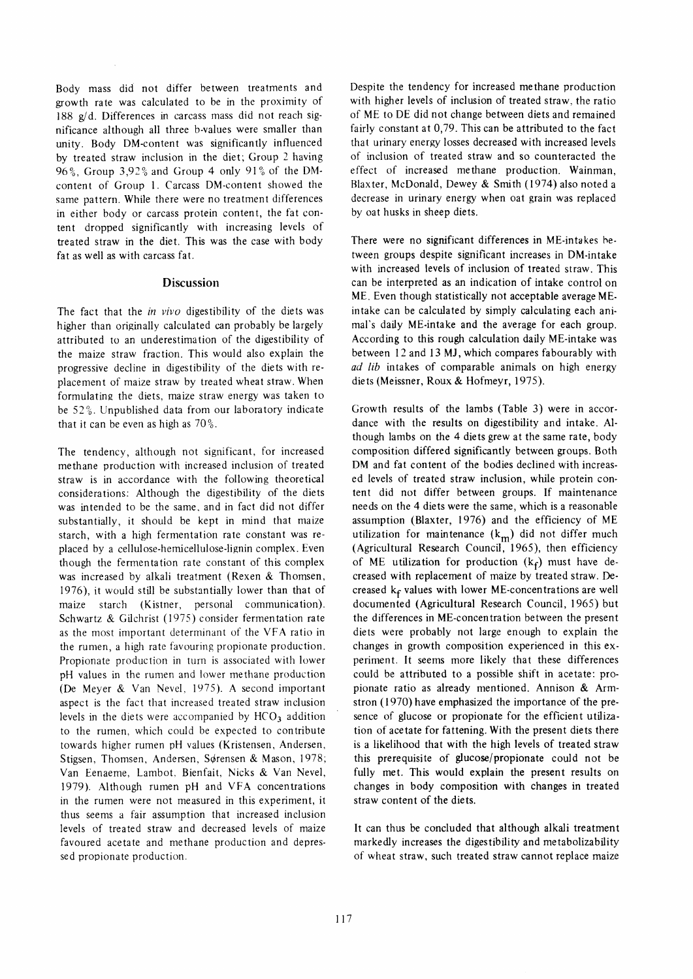Body mass did not differ between treatments and growth rate was calculated to be in the proximity of l8S g/d. Differences in carcass mass did not reach significance although all three b-values were smaller than unity. Body DM-content was significantly influenced by treated straw inclusion in the diet; Group 2 having 96%, Group  $3.92\%$  and Group 4 only 91% of the DMcontent of Group l. Carcass DM-content showed the same pattern. While there were no treatment differences in either body or carcass protein content, the fat content dropped significantly with increasing levels of treated straw in the diet. This was the case with body fat as well as with carcass fat.

# Discussion

The fact that the in vivo digestibility of the diets was higher than originally calculated can probably be largely attributed to an underestimation of the digestibility of the maize straw fraction. This would also explain the progressive decline in digestibility of the diets with replacement of maize straw by treated wheat straw. When formulating the diets, maize straw energy was taken to be 52%. Unpublished data from our laboratory indicate that it can be even as high as  $70\%$ .

The tendency, although not significant, for increased methane production with increased inclusion of treated straw is in accordance with the following theoretical considerations: Although the digestibility of the diets was intended to be the same. and in fact did not differ substantially, it should be kept in mind that maize starch, with a high fermentation rate constant was replaced by a cellulose-hemicellulose-lignin complex. Even though the fermentation rate constant of this complex was increased by alkali treatment (Rexen & Thomsen, 1976), it would still be substantially lower than that of maize starch (Kistner, personal communication). Schwartz & Gilchrist (1975) consider fermentation rate as the most important determinant of the VFA ratio in the rumen, a high rate favouring propionate production. Propionate production in turn is associated with lower pH values in the rumen and lower methane production (De Meyer & Van Nevel, 1975). A second important aspect is the fact that increased treated straw inclusion levels in the diets were accompanied by  $HCO<sub>3</sub>$  addition to the rumen, which could be expected to contribute towards higher rumen pH values (Kristensen, Andersen, Stigsen, Thomsen, Andersen, Sørensen & Mason, 1978; Van Eenaeme, Lambot. Bienfait, Nicks & Van Nevel, 1979). Although rumen pH and VFA concentrations in the rumen were not measured in this experiment, it thus seems a fair assumption that increased inclusion levels of treated straw and decreased levels of maize favoured acetate and methane production and depressed propionate production.

Despite the tendency for increased methane production with higher levels of inclusion of treated straw, the ratio of ME to DE did not change between diets and remained fairly constant at 0,79. This can be attributed to the fact that urinary energy losses decreased with increased levels of inclusion of treated straw and so counteracted the effect of increased methane production. Wainman, Blaxter, McDonald, Dewey & Smith (1914) also noted a decrease in urinary energy when oat grain was replaced by oat husks in sheep diets,

There were no significant differences in ME-intakes hetween groups despite significant increases in DM-intake with increased levels of inclusion of treated straw. This can be interpreted as an indication of intake control on ME. Even though statistically not acceptable average MEintake can be calculated by simply calculating each animal's daily ME-intake and the average for each group. According to this rough calculation daily ME-intake was between l2 and l3 MJ, which compares fabourably with ad lib intakes of comparable animals on high energy diets (Meissner, Roux & Hofmeyr, 1975).

Growth results of the lambs (Table 3) were in accordance with the results on digestibility and intake. Although lambs on the 4 diets grew at the same rate, body composition differed significantly between groups. Both DM and fat content of the bodies declined with increased levels of treated straw inclusion, while protein content did not differ between groups. If maintenance needs on the 4 diets were the same, which is a reasonable assumption (Blaxter, 1976) and the efficiency of ME utilization for maintenance  $(k_m)$  did not differ much (Agricultural Research Council, 1965), then efficiency of ME utilization for production  $(k_f)$  must have decreased with replacement of maize by treated straw. Decreased  $k_f$  values with lower ME-concentrations are well documented (Agricultural Research Council, 1965) but the differences in ME-concentration between the present diets were probably not large enough to explain the changes in growth composition experienced in this experiment. lt seems more likely that these differences could be attributed to a possible shift in acetate: propionate ratio as already mentioned. Annison & Armstron (1970) have emphasized the importance of the presence of glucose or propionate for the efficient utilization of acetate for fattening. With the present diets there is a likelihood that with the high levels of treated straw this prerequisite of glucose/propionate could not be fully met. This would explain the present results on changes in body composition with changes in treated straw content of the diets.

It can thus be concluded that although alkali treatment markedly increases the digestibility and metabolizability of wheat straw, such treated straw cannot replace maize